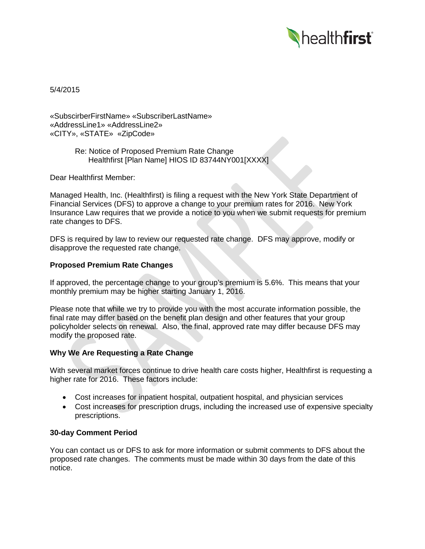

5/4/2015

«SubscirberFirstName» «SubscriberLastName» «AddressLine1» «AddressLine2» «CITY», «STATE» «ZipCode»

> Re: Notice of Proposed Premium Rate Change Healthfirst [Plan Name] HIOS ID 83744NY001[XXXX]

Dear Healthfirst Member:

Managed Health, Inc. (Healthfirst) is filing a request with the New York State Department of Financial Services (DFS) to approve a change to your premium rates for 2016. New York Insurance Law requires that we provide a notice to you when we submit requests for premium rate changes to DFS.

DFS is required by law to review our requested rate change. DFS may approve, modify or disapprove the requested rate change.

# **Proposed Premium Rate Changes**

If approved, the percentage change to your group's premium is 5.6%. This means that your monthly premium may be higher starting January 1, 2016.

Please note that while we try to provide you with the most accurate information possible, the final rate may differ based on the benefit plan design and other features that your group policyholder selects on renewal. Also, the final, approved rate may differ because DFS may modify the proposed rate.

## **Why We Are Requesting a Rate Change**

With several market forces continue to drive health care costs higher, Healthfirst is requesting a higher rate for 2016. These factors include:

- Cost increases for inpatient hospital, outpatient hospital, and physician services
- Cost increases for prescription drugs, including the increased use of expensive specialty prescriptions.

## **30-day Comment Period**

You can contact us or DFS to ask for more information or submit comments to DFS about the proposed rate changes. The comments must be made within 30 days from the date of this notice.